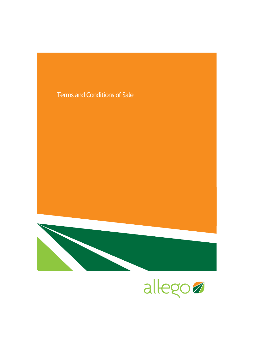

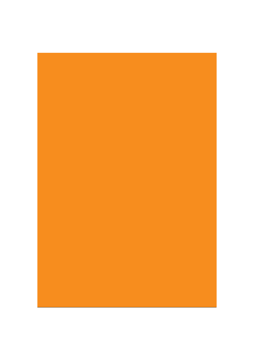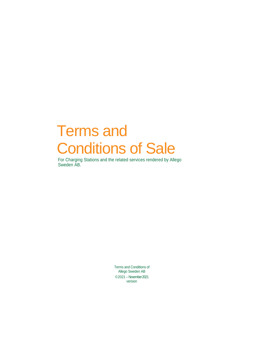# Terms and Conditions of Sale

For Charging Stations and the related services rendered by Allego Sweden AB.

> Terms and Conditions of Allego Sweden AB ©2021 – November 2021 version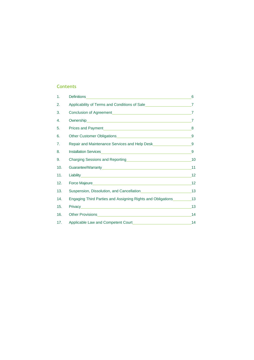# **Contents**

| 1.             | Definitions<br><u> 1989 - Johann John Stein, markin film ar yn y brenin y brenin y brenin y brenin y brenin y brenin y brenin y</u> | 6              |
|----------------|-------------------------------------------------------------------------------------------------------------------------------------|----------------|
| 2.             | Applicability of Terms and Conditions of Sale                                                                                       | $\overline{7}$ |
| 3.             |                                                                                                                                     | $\overline{7}$ |
| 4.             |                                                                                                                                     | 7              |
| 5.             |                                                                                                                                     | 8              |
| 6.             |                                                                                                                                     |                |
| 7 <sub>1</sub> | Repair and Maintenance Services and Help Desk_____________________________9                                                         |                |
| 8.             |                                                                                                                                     |                |
| 9.             |                                                                                                                                     |                |
| 10.            |                                                                                                                                     |                |
| 11.            |                                                                                                                                     |                |
| 12.            |                                                                                                                                     |                |
| 13.            |                                                                                                                                     |                |
| 14.            | Engaging Third Parties and Assigning Rights and Obligations __________ 13                                                           |                |
| 15.            |                                                                                                                                     |                |
| 16.            | Other Provisions 14                                                                                                                 |                |
| 17.            |                                                                                                                                     |                |
|                |                                                                                                                                     |                |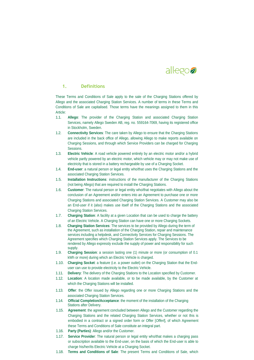

#### **1. Definitions**

These Terms and Conditions of Sale apply to the sale of the Charging Stations offered by Allego and the associated Charging Station Services. A number of terms in these Terms and Conditions of Sale are capitalised. Those terms have the meanings assigned to them in this Article:

- 1.1. **Allego**: The provider of the Charging Station and associated Charging Station Services, namely Allego Sweden AB, reg. no. 559164-7069, having its registered office in Stockholm, Sweden.
- 1.2. **Connectivity Services**: The care taken by Allego to ensure that the Charging Stations are included in the back office of Allego, allowing Allego to make reports available on Charging Sessions, and through which Service Providers can be charged for Charging Sessions.
- 1.3. **Electric Vehicle**: A road vehicle powered entirely by an electric motor and/or a hybrid vehicle partly powered by an electric motor, which vehicle may or may not make use of electricity that is stored in a battery rechargeable by use of a Charging Socket.
- 1.4. **End-user**: a natural person or legal entity who/that uses the Charging Stations and the associated Charging Station Services.
- 1.5. **Installation Instructions**: instructions of the manufacturer of the Charging Stations (not being Allego) that are required to install the Charging Stations.
- 1.6. **Customer**: The natural person or legal entity who/that negotiates with Allego about the conclusion of an Agreement and/or enters into an Agreement to purchase one or more Charging Stations and associated Charging Station Services. A Customer may also be an End-user if it (also) makes use itself of the Charging Stations and the associated Charging Station Services.
- 1.7. **Charging Station**: A facility at a given Location that can be used to charge the battery of an Electric Vehicle. A Charging Station can have one or more Charging Sockets.
- 1.8. **Charging Station Services**: The services to be provided by Allego during the term of the Agreement, such as installation of the Charging Station, repair and maintenance services including a helpdesk, and Connectivity Services for Charging Sessions. The Agreement specifies which Charging Station Services apply. The Services to be rendered by Allego expressly exclude the supply of power and responsibility for such supply.
- 1.9. **Charging Session**: a session lasting one (1) minute or more (or consumption of 0.1 kWh or more) during which an Electric Vehicle is charged.
- 1.10. **Charging Socket**: a feature (i.e. a power outlet) on the Charging Station that the Enduser can use to provide electricity to the Electric Vehicle.
- 1.11. **Delivery**: The delivery of the Charging Stations to the Location specified by Customer.
- 1.12. **Location**: A location made available, or to be made available, by the Customer at which the Charging Stations will be installed.
- 1.13. **Offer**: the Offer issued by Allego regarding one or more Charging Stations and the associated Charging Station Services.
- 1.14. **Official Completion/Acceptance**: the moment of the installation of the Charging Stations after Delivery.
- 1.15. **Agreement**: the agreement concluded between Allego and the Customer regarding the Charging Stations and the related Charging Station Services, whether or not this is embodied in a contract or a signed order form or Offer [*Offert*], of which Agreement these Terms and Conditions of Sale constitute an integral part.
- 1.16. **Party (Parties)**: Allego and/or the Customer.
- 1.17. **Service Provider**: The natural person or legal entity who/that makes a charging pass or subscription available to the End-user, on the basis of which the End-user is able to charge his/her/its Electric Vehicle at a Charging Socket.
- 1.18. **Terms and Conditions of Sale**: The present Terms and Conditions of Sale, which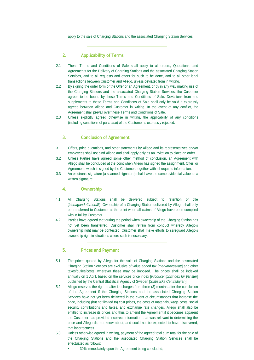apply to the sale of Charging Stations and the associated Charging Station Services.

# **2. Applicability of Terms**

- 2.1. These Terms and Conditions of Sale shall apply to all orders, Quotations, and Agreements for the Delivery of Charging Stations and the associated Charging Station Services, and to all requests and offers for such to be done, and to all other legal transactions between Customer and Allego, unless deviated from in writing.
- 2.2. By signing the order form or the Offer or an Agreement, or by in any way making use of the Charging Stations and the associated Charging Station Services, the Customer agrees to be bound by these Terms and Conditions of Sale. Deviations from and supplements to these Terms and Conditions of Sale shall only be valid if expressly agreed between Allego and Customer in writing. In the event of any conflict, the Agreement shall prevail over these Terms and Conditions of Sale.
- 2.3. Unless explicitly agreed otherwise in writing, the applicability of any conditions (including conditions of purchase) of the Customer is expressly rejected.

# **3. Conclusion of Agreement**

- 3.1. Offers, price quotations, and other statements by Allego and its representatives and/or employees shall not bind Allego and shall apply only as an invitation to place an order.
- 3.2. Unless Parties have agreed some other method of conclusion, an Agreement with Allego shall be concluded at the point when Allego has signed the assignment, Offer, or Agreement, which is signed by the Customer, together with all required information.
- 3.3. An electronic signature (a scanned signature) shall have the same evidential value as a written signature.

#### **4. Ownership**

- 4.1. All Charging Stations shall be delivered subject to retention of [*återtagandeförbehåll*]. Ownership of a Charging Station delivered by Allego shall only be transferred to Customer at the point when all claims of Allego have been complied with in full by Customer.
- 4.2. Parties have agreed that during the period when ownership of the Charging Station has not yet been transferred, Customer shall refrain from conduct whereby Allego's ownership right may be contested. Customer shall make efforts to safeguard Allego's ownership right in situations where such is necessary.

# **5. Prices and Payment**

- 5.1. The prices quoted by Allego for the sale of Charging Stations and the associated Charging Station Services are exclusive of value added tax [*mervärdesskatt*] and other taxes/duties/costs, wherever these may be imposed. The prices shall be indexed annually on 1 April, based on the services price index [*Producentprisindex för tjänster*] published by the Central Statistical Agency of Sweden [*Statistiska Centralbyrån*].
- 5.2. Allego reserves the right to alter its charges from three (3) months after the conclusion of the Agreement if the Charging Stations and the associated Charging Station Services have not yet been delivered in the event of circumstances that increase the price, including (but not limited to) cost prices, the costs of materials, wage costs, social security contributions and taxes, and exchange rate changes. Allego shall also be entitled to increase its prices and thus to amend the Agreement if it becomes apparent the Customer has provided incorrect information that was relevant to determining the price and Allego did not know about, and could not be expected to have discovered, that incorrectness.
- 5.3. Unless otherwise agreed in writing, payment of the agreed total sum total for the sale of the Charging Stations and the associated Charging Station Services shall be effectuated as follows:
	- 30% immediately upon the Agreement being concluded;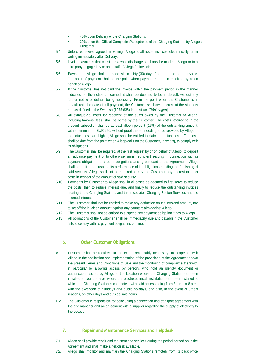- 40% upon Delivery of the Charging Stations;
- 30% upon the Official Completion/Acceptance of the Charging Stations by Allego or Customer.
- 5.4. Unless otherwise agreed in writing, Allego shall issue invoices electronically or in writing immediately after Delivery.
- 5.5. Invoice payments that constitute a valid discharge shall only be made to Allego or to a third party engaged by or on behalf of Allego for invoicing.
- 5.6. Payment to Allego shall be made within thirty (30) days from the date of the invoice. The point of payment shall be the point when payment has been received by or on behalf of Allego.
- 5.7. If the Customer has not paid the invoice within the payment period in the manner indicated on the notice concerned, it shall be deemed to be in default, without any further notice of default being necessary. From the point when the Customer is in default until the date of full payment, the Customer shall owe interest at the statutory rate as defined in the Swedish (1975:635) Interest Act [*Räntelagen*].
- 5.8. All extrajudicial costs for recovery of the sums owed by the Customer to Allego, including lawyers' fees, shall be borne by the Customer. The costs referred to in the present subsection shall be at least fifteen percent (15%) of the outstanding amount, with a minimum of EUR 250, without proof thereof needing to be provided by Allego. If the actual costs are higher, Allego shall be entitled to claim the actual costs. The costs shall be due from the point when Allego calls on the Customer, in writing, to comply with its obligations.
- 5.9. The Customer shall be required, at the first request by or on behalf of Allego, to deposit an advance payment or to otherwise furnish sufficient security in connection with its payment obligations and other obligations arising pursuant to the Agreement. Allego shall be entitled to suspend its performance of its obligations pending the furnishing of said security. Allego shall not be required to pay the Customer any interest or other costs in respect of the amount of said security.
- 5.10. Payments by Customer to Allego shall in all cases be deemed to first serve to reduce the costs, then to reduce interest due, and finally to reduce the outstanding invoices relating to the Charging Stations and the associated Charging Station Services and the accrued interest.
- 5.11. The Customer shall not be entitled to make any deduction on the invoiced amount, nor to set off the invoiced amount against any counterclaim against Allego.
- 5.12. The Customer shall not be entitled to suspend any payment obligation it has to Allego.
- 5.13. All obligations of the Customer shall be immediately due and payable if the Customer fails to comply with its payment obligations on time.

# **6. Other Customer Obligations**

- 6.1. Customer shall be required, to the extent reasonably necessary, to cooperate with Allego in the application and implementation of the provisions of the Agreement and/or the present Terms and Conditions of Sale and the monitoring of compliance therewith, in particular by allowing access by persons who hold an identity document or authorisation issued by Allego to the Location where the Charging Station has been installed and/or the area where the electrotechnical installation has been installed to which the Charging Station is connected, with said access being from 8 a.m. to 8 p.m., with the exception of Sundays and public holidays, and also, in the event of urgent reasons, on other days and outside said hours.
- 6.2. The Customer is responsible for concluding a connection and transport agreement with the grid manager and an agreement with a supplier regarding the supply of electricity to the Location.
	- **7. Repair and Maintenance Services and Helpdesk**
- 7.1. Allego shall provide repair and maintenance services during the period agreed on in the Agreement and shall make a helpdesk available.
- 7.2. Allego shall monitor and maintain the Charging Stations remotely from its back office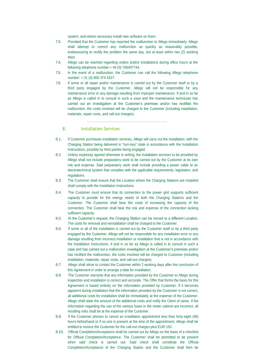system, and where necessary install new software on them.

- 7.3. Provided that the Customer has reported the malfunction to Allego immediately, Allego shall attempt to correct any malfunction as quickly as reasonably possible, endeavouring to rectify the problem the same day, but at least within two (2) working days.
- 7.4. Allego can be reached regarding orders and/or installations during office hours at the following telephone number:+ 46 (0) 706407744.
- 7.5. In the event of a malfunction, the Customer can call the following Allego telephone number: + 31 (0) 800 374 5337.
- 7.6. If some or all repair and/or maintenance is carried out by the Customer itself or by a third party engaged by the Customer, Allego will not be responsible for any maintenance error or any damage resulting from improper maintenance. If and in so far as Allego is called in to consult in such a case and the maintenance technician has carried out an investigation at the Customer's premises and/or has rectified the malfunction, the costs involved will be charged to the Customer (including installation, materials, repair costs, and call-out charges).

# **8. Installation Services**

- 8.1. If Customer purchases installation services, Allego will carry out the installation, with the Charging Station being delivered in "turn-key" state in accordance with the Installation Instructions, possibly by third parties being engaged.
- 8.2. Unless expressly agreed otherwise in writing, the installation services to be provided by Allego shall not include preparatory work to be carried out by the Customer at its own risk and expense. Said preparatory work shall include providing a power cable to an electrotechnical system that complies with the applicable requirements, legislation, and regulations.
- 8.3. The Customer shall ensure that the Location where the Charging Stations are installed shall comply with the Installation Instructions.
- 8.4. The Customer must ensure that its connection to the power grid supports sufficient capacity to provide for the energy needs of both the Charging Stations and the Customer. The Customer shall bear the costs of increasing the capacity of the connection. The Customer shall bear the risk and expense of the connection lacking sufficient capacity.
- 8.5. At the Customer's request, the Charging Station can be moved to a different Location. The costs for removal and reinstallation shall be charged to the Customer.
- 8.6. If some or all of the installation is carried out by the Customer itself or by a third party engaged by the Customer, Allego will not be responsible for any installation error or any damage resulting from incorrect installation or installation that is not in accordance with the Installation Instructions. If and in so far as Allego is called in to consult in such a case and has carried out a malfunction investigation at the Customer's premises and/or has rectified the malfunction, the costs involved will be charged to Customer (including installation, materials, repair costs, and call-out charges).
- 8.7. Allego shall strive to contact the Customer within 2 working days after the conclusion of this Agreement in order to arrange a date for installation.
- 8.8. The Customer warrants that any information provided by the Customer to Allego during inspection and installation is correct and accurate. The Offer that forms the basis for this Agreement is based entirely on the information provided by Customer. If it becomes apparent during installation that the information provided by the Customer is not correct, all additional costs for installation shall be immediately at the expense of the Customer. Allego shall state the amount of the additional costs and notify the Client of same. If the information regarding the use of the various fuses in the meter cabinet are incorrect, all resulting risks shall be at the expense of the Customer.
- 8.9. If the Customer phones to cancel an installation appointment less than forty-eight (48) hours beforehand or if no one is present at the time of the appointment, Allego shall be entitled to invoice the Customer for the call-out charges plus EUR 150.
- 8.10. Official Completion/Acceptance shall be carried out by Allego on the basis of a checklist for Official Completion/Acceptance. The Customer shall be permitted to be present when said check is carried out. Said check shall constitute the Official Completion/Acceptance of the Charging Station and the Customer shall then be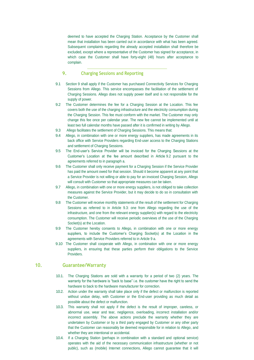deemed to have accepted the Charging Station. Acceptance by the Customer shall mean that installation has been carried out in accordance with what has been agreed. Subsequent complaints regarding the already accepted installation shall therefore be excluded, except where a representative of the Customer has signed for acceptance, in which case the Customer shall have forty-eight (48) hours after acceptance to complain.

# **9. Charging Sessions and Reporting**

- 9.1 Section 9 shall apply if the Customer has purchased Connectivity Services for Charging Sessions from Allego. This service encompasses the facilitation of the settlement of Charging Sessions. Allego does not supply power itself and is not responsible for the supply of power.
- 9.2 The Customer determines the fee for a Charging Session at the Location. This fee covers both the use of the charging infrastructure and the electricity consumption during the Charging Session. This fee must conform with the market. The Customer may only change this fee once per calendar year. The new fee cannot be implemented until at least two full calendar months have passed after it is confirmed in writing by Allego.
- 9.3 Allego facilitates the settlement of Charging Sessions. This means that:
- 9.4 Allego, in combination with one or more energy suppliers, has made agreements in its back office with Service Providers regarding End-user access to the Charging Stations and settlement of Charging Sessions.
- 9.5 The End-user's Service Provider will be invoiced for the Charging Sessions at the Customer's Location at the fee amount described in Article 9.2 pursuant to the agreements referred to in paragraph a.
- 9.6 The Customer shall only receive payment for a Charging Session if the Service Provider has paid the amount owed for that session. Should it become apparent at any point that a Service Provider is not willing or able to pay for an invoiced Charging Session, Allego will consult with Customer so that appropriate measures can be taken.
- 9.7 Allego, in combination with one or more energy suppliers, is not obliged to take collection measures against the Service Provider, but it may decide to do so in consultation with the Customer.
- 9.8 The Customer will receive monthly statements of the result of the settlement for Charging Sessions as referred to in Article 9.3: one from Allego regarding the use of the infrastructure, and one from the relevant energy supplier(s) with regard to the electricity consumption. The Customer will receive periodic overviews of the use of the Charging Socket(s) at the Location.
- 9.9 The Customer hereby consents to Allego, in combination with one or more energy suppliers, to include the Customer's Charging Socket(s) at the Location in the agreements with Service Providers referred to in Article 9 a.
- 9.10 The Customer shall cooperate with Allego, in combination with one or more energy suppliers, in ensuring that these parties perform their obligations to the Service Providers.

#### **10. Guarantee/Warranty**

- 10.1. The Charging Stations are sold with a warranty for a period of two (2) years. The warranty for the hardware is "back to base" i.e. the customer have the right to send the hardware to back to the hardware manufacturer for correction.
- 10.2. Action under the warranty shall take place only if the defect or malfunction is reported without undue delay, with Customer or the End-user providing as much detail as possible about the defect or malfunction.
- 10.3. This warranty shall not apply if the defect is the result of improper, careless, or abnormal use, wear and tear, negligence, overloading, incorrect installation and/or incorrect assembly. The above actions preclude the warranty whether they are undertaken by Customer or by a third party engaged by Customer or any other party that the Customer can reasonably be deemed responsible for in relation to Allego, and whether they are intentional or accidental.
- 10.4. If a Charging Station (perhaps in combination with a standard and optional service) operates with the aid of the necessary communication infrastructure (whether or not public), such as (mobile) Internet connections, Allego cannot guarantee that it will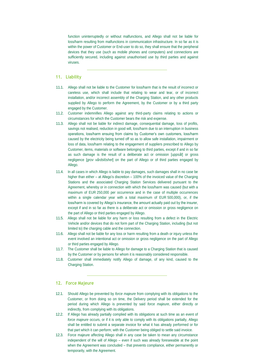function uninterruptedly or without malfunctions, and Allego shall not be liable for loss/harm resulting from malfunctions in communication infrastructure. In so far as it is within the power of Customer or End-user to do so, they shall ensure that the peripheral devices that they use (such as mobile phones and computers) and connections are sufficiently secured, including against unauthorised use by third parties and against viruses.

### **11. Liability**

- 11.1. Allego shall not be liable to the Customer for loss/harm that is the result of incorrect or careless use, which shall include that relating to wear and tear, or of incorrect installation, and/or incorrect assembly of the Charging Station, and any other products supplied by Allego to perform the Agreement, by the Customer or by a third party engaged by the Customer.
- 11.2. Customer indemnifies Allego against any third-party claims relating to actions or circumstances for which the Customer bears the risk and expense.
- 11.3. Allego shall not be liable for indirect damage, consequential damage, loss of profits, savings not realised, reduction in good will, loss/harm due to an interruption in business operations, loss/harm ensuing from claims by Customer's own customers, loss/harm caused by the electricity being turned off so as to allow safe installation, impairment or loss of data, loss/harm relating to the engagement of suppliers prescribed to Allego by Customer, items, materials or software belonging to third parties, except if and in so far as such damage is the result of a deliberate act or omission [*uppsåt*] or gross negligence [*grov vårdslöshet*] on the part of Allego or of third parties engaged by Allego.
- 11.4. In all cases in which Allego is liable to pay damages, such damages shall in no case be higher than either – at Allego's discretion – 100% of the invoiced value of the Charging Stations and the associated Charging Station Services delivered pursuant to the Agreement, whereby or in connection with which the loss/harm was caused (but with a maximum of EUR 250,000 per occurrence and in the case of multiple occurrences within a single calendar year with a total maximum of EUR 500,000), or, if the loss/harm is covered by Allego's insurance, the amount actually paid out by the insurer, except if and in so far as there is a deliberate act or omission or gross negligence on the part of Allego or third parties engaged by Allego.
- 11.5. Allego shall not be liable for any harm or loss resulting from a defect in the Electric Vehicle and/or devices that do not form part of the Charging Station, including (but not limited to) the charging cable and the connection.
- 11.6. Allego shall not be liable for any loss or harm resulting from a death or injury unless the event involved an intentional act or omission or gross negligence on the part of Allego or third parties engaged by Allego.
- 11.7. The Customer shall be liable to Allego for damage to a Charging Station that is caused by the Customer or by persons for whom it is reasonably considered responsible.
- 11.8. Customer shall immediately notify Allego of damage, of any kind, caused to the Charging Station.

# **12. Force Majeure**

- 12.1. Should Allego be prevented by *force majeure* from complying with its obligations to the Customer, or from doing so on time, the Delivery period shall be extended for the period during which Allego is prevented by said *force majeure*, either directly or indirectly, from complying with its obligations.
- 12.2. If Allego has already partially complied with its obligations at such time as an event of *force majeure* occurs, or if it is only able to comply with its obligations partially, Allego shall be entitled to submit a separate invoice for what it has already performed or for that part which it can perform; with the Customer being obliged to settle said invoice.
- 12.3. Force majeure affecting Allego shall in any case be taken to mean any circumstance independent of the will of Allego – even if such was already foreseeable at the point when the Agreement was concluded – that prevents compliance, either permanently or temporarily, with the Agreement.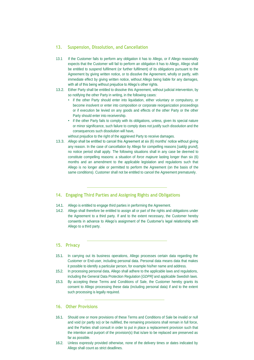#### **13. Suspension, Dissolution, and Cancellation**

- 13.1 If the Customer fails to perform any obligation it has to Allego, or if Allego reasonably expects that the Customer will fail to perform an obligation it has to Allego, Allego shall be entitled to suspend fulfilment (or further fulfilment) of its obligations pursuant to the Agreement by giving written notice, or to dissolve the Agreement, wholly or partly, with immediate effect by giving written notice, without Allego being liable for any damages, with all of this being without prejudice to Allego's other rights.
- 13.2. Either Party shall be entitled to dissolve this Agreement, without judicial intervention, by so notifying the other Party in writing, in the following cases:
	- if the other Party should enter into liquidation, either voluntary or compulsory, or become insolvent or enter into composition or corporate reorganization proceedings or if execution be levied on any goods and effects of the other Party or the other Party should enter into receivership.
	- if the other Party fails to comply with its obligations, unless, given its special nature or minor significance, such failure to comply does not justify such dissolution and the consequences such dissolution will have,

without prejudice to the right of the aggrieved Party to receive damages.

- 13.3. *Allego* shall be entitled to cancel this Agreement at six (6) months' notice without giving any reason. In the case of cancellation by Allego for compelling reasons [*saklig grund*], no notice period shall apply. The following situations shall in any case be deemed to constitute compelling reasons: a situation of *force majeure* lasting longer than six (6) months and an amendment to the applicable legislation and regulations such that Allego is no longer able or permitted to perform the Agreement (on the basis of the same conditions). Customer shall not be entitled to cancel the Agreement prematurely.
- **14. Engaging Third Parties and Assigning Rights and Obligations**
- 14.1. Allego is entitled to engage third parties in performing the Agreement.
- 14.2. Allego shall therefore be entitled to assign all or part of the rights and obligations under the Agreement to a third party. If and to the extent necessary, the Customer hereby consents in advance to Allego's assignment of the Customer's legal relationship with Allego to a third party.

#### **15. Privacy**

- 15.1. In carrying out its business operations, Allego processes certain data regarding the Customer or End-user, including personal data. Personal data means data that makes it possible to identify a particular person, for example his/her name and address.
- 15.2. In processing personal data, Allego shall adhere to the applicable laws and regulations, including the General Data Protection Regulation [*GDPR]* and applicable Swedish laws.
- 15.3. By accepting these Terms and Conditions of Sale, the Customer hereby grants its consent to Allego processing these data (including personal data) if and to the extent such processing is legally required.

#### **16. Other Provisions**

- 16.1. Should one or more provisions of these Terms and Conditions of Sale be invalid or null and void (or partly so) or be nullified, the remaining provisions shall remain in full force, and the Parties shall consult in order to put in place a replacement provision such that the intention and purport of the provision(s) that is/are to be replaced are preserved as far as possible.
- 16.2. Unless expressly provided otherwise, none of the delivery times or dates indicated by Allego shall count as strict deadlines.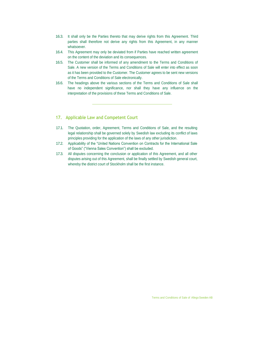- 16.3. It shall only be the Parties thereto that may derive rights from this Agreement. Third parties shall therefore not derive any rights from this Agreement, in any manner whatsoever.
- 16.4. This Agreement may only be deviated from if Parties have reached written agreement on the content of the deviation and its consequences.
- 16.5. The Customer shall be informed of any amendment to the Terms and Conditions of Sale. A new version of the Terms and Conditions of Sale will enter into effect as soon as it has been provided to the Customer. The Customer agrees to be sent new versions of the Terms and Conditions of Sale electronically.
- 16.6. The headings above the various sections of the Terms and Conditions of Sale shall have no independent significance, nor shall they have any influence on the interpretation of the provisions of these Terms and Conditions of Sale.

#### **17. Applicable Law and Competent Court**

- 17.1. The Quotation, order, Agreement, Terms and Conditions of Sale, and the resulting legal relationship shall be governed solely by Swedish law excluding its conflict of laws principles providing for the application of the laws of any other jurisdiction.
- 17.2. Applicability of the "United Nations Convention on Contracts for the International Sale of Goods" ("Vienna Sales Convention") shall be excluded.
- 17.3. All disputes concerning the conclusion or application of this Agreement, and all other disputes arising out of this Agreement, shall be finally settled by Swedish general court, whereby the district court of Stockholm shall be the first instance.

Terms and Conditions of Sale of Allego Sweden AB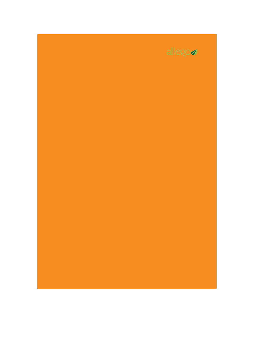